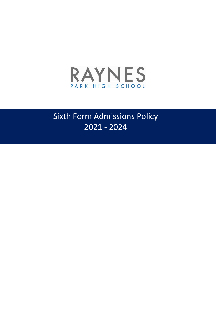

# Sixth Form Admissions Policy 2021 - 2024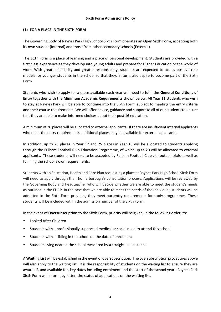# **(1) FOR A PLACE IN THE SIXTH FORM**

The Governing Body of Raynes Park High School Sixth Form operates an Open Sixth Form, accepting both its own student (Internal) and those from other secondary schools (External).

The Sixth Form is a place of learning and a place of personal development. Students are provided with a first class experience as they develop into young adults and prepare for Higher Education or the world of work. With greater flexibility and greater responsibility, students are expected to act as positive role models for younger students in the school so that they, in turn, also aspire to become part of the Sixth Form.

Students who wish to apply for a place available each year will need to fulfil the **General Conditions of Entry** together with the **Minimum Academic Requirements** shown below. All Year 11 students who wish to stay at Raynes Park will be able to continue into the Sixth Form, subject to meeting the entry criteria and their course requirements. We will offer advice, guidance and support to all of our students to ensure that they are able to make informed choices about their post 16 education.

A minimum of 20 places will be allocated to external applicants. If there are insufficient internal applicants who meet the entry requirements, additional places may be available for external applicants.

In addition, up to 25 places in Year 12 and 25 places in Year 13 will be allocated to students applying through the Fulham Football Club Education Programme, of which up to 20 will be allocated to external applicants. These students will need to be accepted by Fulham Football Club via football trials as well as fulfilling the school's own requirements.

Students with an Education, Health and Care Plan requesting a place at Raynes Park High School Sixth Form will need to apply through their home borough's consultation process. Applications will be reviewed by the Governing Body and Headteacher who will decide whether we are able to meet the student's needs as outlined in the EHCP. In the case that we are able to meet the needs of the individual, students will be admitted to the Sixth Form providing they meet our entry requirements for study programmes. These students will be included within the admission number of the Sixth Form.

In the event of **Oversubscription** to the Sixth Form, priority will be given, in the following order, to:

- Looked After Children
- Students with a professionally supported medical or social need to attend this school
- Students with a sibling in the school on the date of enrolment
- Students living nearest the school measured by a straight line distance

A **Waiting List** will be established in the event of oversubscription. The oversubscription procedures above will also apply to the waiting list. It is the responsibility of students on the waiting list to ensure they are aware of, and available for, key dates including enrolment and the start of the school year. Raynes Park Sixth Form will inform, by letter, the status of applications on the waiting list.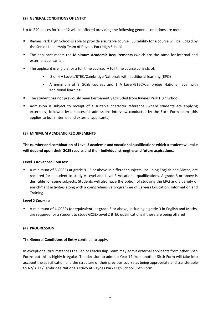## **(2) GENERAL CONDITIONS OF ENTRY**

Up to 240 places for Year 12 will be offered providing the following general conditions are met:

- Raynes Park High School is able to provide a suitable course. Suitability for a course will be judged by the Senior Leadership Team of Raynes Park High School.
- The applicant meets the **Minimum Academic Requirements** (which are the same for internal and external applicants)**.**
- The applicant is eligible for a full time course**.** A full time course consists of;
	- 3 or 4 A Levels/BTEC/Cambridge Nationals with additional learning (EPQ)
	- A minimum of 2 GCSE courses and 1 A Level/BTEC/Cambridge National level with additional learning.
- The student has not previously been Permanently Excluded from Raynes Park High School
- Admission is subject to receipt of a suitable character reference (where students are applying externally) followed by a successful admissions interview conducted by the Sixth Form team (this applies to both internal and external applicants)

# **(3) MINIMUM ACADEMIC REQUIREMENTS**

**The number and combination of Level 3 academic and vocational qualifications which a student will take will depend upon their GCSE results and their individual strengths and future aspirations.**

## **Level 3 Advanced Courses:**

 A minimum of 5 GCSEs at grade 9 - 5 or above in different subjects, including English and Maths, are required for a student to study A Level and Level 3 Vocational qualifications. A grade 6 or above is desirable for some subjects. Students will also have the option of studying the EPQ and a variety of enrichment activities along with a comprehensive programme of Careers Education, Information and **Training** 

## **Level 2 Courses:**

 A minimum of 4 GCSEs (or equivalent) at grade 3 or above, including a grade 3 in English and Maths, are required for a student to study GCSE/Level 2 BTEC qualifications if these are being offered

## **(4) PROGRESSION**

## The **General Conditions of Entry** continue to apply.

In exceptional circumstances the Senior Leadership Team may admit external applicants from other Sixth Forms but this is highly irregular. The decision to admit a Year 12 from another Sixth Form will take into account the specification and the structure of their previous course as being appropriate and transferable to A2/BTEC/Cambridge Nationals study at Raynes Park High School Sixth Form.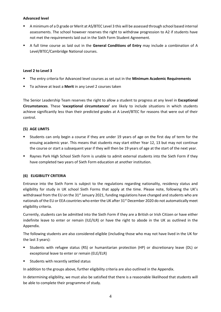## **Advanced level**

- A minimum of a D grade or Merit at AS/BTEC Level 3 this will be assessed through school based internal assessments. The school however reserves the right to withdraw progression to A2 if students have not met the requirements laid out in the Sixth Form Student Agreement.
- A full time course as laid out in the **General Conditions of Entry** may include a combination of A Level/BTEC/Cambridge National courses.

#### **Level 2 to Level 3**

- The entry criteria for Advanced level courses as set out in the **Minimum Academic Requirements**
- To achieve at least a **Merit** in any Level 2 courses taken

The Senior Leadership Team reserves the right to allow a student to progress at any level in **Exceptional Circumstances**. These **'exceptional circumstances'** are likely to include situations in which students achieve significantly less than their predicted grades at A Level/BTEC for reasons that were out of their control.

### **(5) AGE LIMITS**

- Students can only begin a course if they are under 19 years of age on the first day of term for the ensuing academic year. This means that students may start either Year 12, 13 but may not continue the course or start a subsequent year if they will then be 19 years of age at the start of the next year.
- Raynes Park High School Sixth Form is unable to admit external students into the Sixth Form if they have completed two years of Sixth Form education at another institution.

## **(6) ELIGIBILITY CRITERIA**

Entrance into the Sixth Form is subject to the regulations regarding nationality, residency status and eligibility for study in UK school Sixth Forms that apply at the time. Please note, following the UK's withdrawal from the EU on the 31<sup>st</sup> January 2021, funding regulations have changed and students who are nationals of the EU or EEA countries who enter the UK after 31<sup>st</sup> December 2020 do not automatically meet eligibility criteria.

Currently, students can be admitted into the Sixth Form if they are a British or Irish Citizen or have either indefinite leave to enter or remain (ILE/ILR) or have the right to abode in the UK as outlined in the Appendix.

The following students are also considered eligible (including those who may not have lived in the UK for the last 3 years):

- Students with refugee status (RS) or humanitarian protection (HP) or discretionary leave (DL) or exceptional leave to enter or remain (ELE/ELR)
- Students with recently settled status

In addition to the groups above, further eligibility criteria are also outlined in the Appendix.

In determining eligibility, we must also be satisfied that there is a reasonable likelihood that students will be able to complete their programme of study.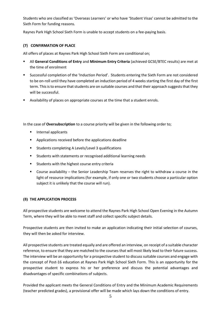Students who are classified as 'Overseas Learners' or who have 'Student Visas' cannot be admitted to the Sixth Form for funding reasons.

Raynes Park High School Sixth Form is unable to accept students on a fee-paying basis.

## **(7) CONFIRMATION OF PLACE**

All offers of places at Raynes Park High School Sixth Form are conditional on;

- All **General Conditions of Entry** and **Minimum Entry Criteria** (achieved GCSE/BTEC results) are met at the time of enrolment
- Successful completion of the 'Induction Period'. Students entering the Sixth Form are not considered to be on-roll until they have completed an induction period of 4 weeks starting the first day of the first term. This is to ensure that students are on suitable courses and that their approach suggests that they will be successful.
- Availability of places on appropriate courses at the time that a student enrols.

In the case of **Oversubscription** to a course priority will be given in the following order to;

- **Internal applicants**
- Applications received before the applications deadline
- Students completing A Levels/Level 3 qualifications
- Students with statements or recognised additional learning needs
- Students with the highest course entry criteria
- Course availability the Senior Leadership Team reserves the right to withdraw a course in the light of resource implications (for example, if only one or two students choose a particular option subject it is unlikely that the course will run).

#### **(8) THE APPLICATION PROCESS**

All prospective students are welcome to attend the Raynes Park High School Open Evening in the Autumn Term, where they will be able to meet staff and collect specific subject details.

Prospective students are then invited to make an application indicating their initial selection of courses, they will then be asked for interview.

All prospective students are treated equally and are offered an interview, on receipt of a suitable character reference, to ensure that they are matched to the courses that will most likely lead to their future success. The interview will be an opportunity for a prospective student to discuss suitable courses and engage with the concept of Post-16 education at Raynes Park High School Sixth Form. This is an opportunity for the prospective student to express his or her preference and discuss the potential advantages and disadvantages of specific combinations of subjects.

Provided the applicant meets the General Conditions of Entry and the Minimum Academic Requirements (teacher predicted grades), a provisional offer will be made which lays down the conditions of entry.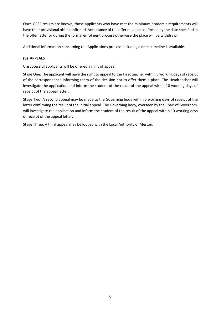Once GCSE results are known, those applicants who have met the minimum academic requirements will have their provisional offer confirmed. Acceptance of the offer must be confirmed by the date specified in the offer letter or during the formal enrolment process otherwise the place will be withdrawn.

Additional information concerning the Applications process including a dates timeline is available.

# **(9) APPEALS**

Unsuccessful applicants will be offered a right of appeal.

Stage One: The applicant will have the right to appeal to the Headteacher within 5 working days of receipt of the correspondence informing them of the decision not to offer them a place. The Headteacher will investigate the application and inform the student of the result of the appeal within 10 working days of receipt of the appeal letter.

Stage Two: A second appeal may be made to the Governing body within 5 working days of receipt of the letter confirming the result of the initial appeal. The Governing body, overseen by the Chair of Governors, will investigate the application and inform the student of the result of the appeal within 10 working days of receipt of the appeal letter.

Stage Three: A third appeal may be lodged with the Local Authority of Merton.